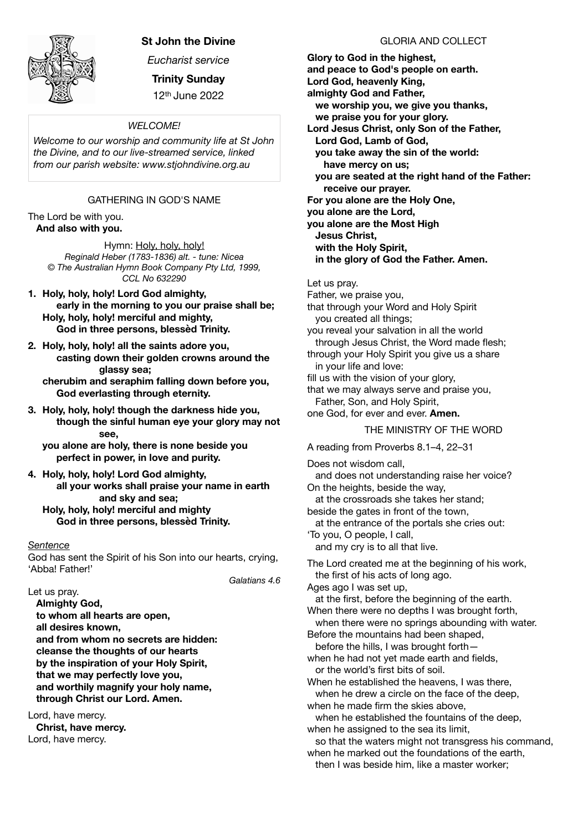

## **St John the Divine**

*Eucharist service* 

**Trinity Sunday**  12th June 2022

#### *WELCOME!*

*Welcome to our worship and community life at St John the Divine, and to our live-streamed service, linked from our parish website: www.stjohndivine.org.au* 

## GATHERING IN GOD'S NAME

The Lord be with you. **And also with you.**

> Hymn: Holy, holy, holy! *Reginald Heber (1783-1836) alt. - tune: Nicea © The Australian Hymn Book Company Pty Ltd, 1999, CCL No 632290*

- **1. Holy, holy, holy! Lord God almighty, early in the morning to you our praise shall be; Holy, holy, holy! merciful and mighty, God in three persons, blessèd Trinity.**
- **2. Holy, holy, holy! all the saints adore you, casting down their golden crowns around the glassy sea; cherubim and seraphim falling down before you, God everlasting through eternity.**
- **3. Holy, holy, holy! though the darkness hide you, though the sinful human eye your glory may not see,**

**you alone are holy, there is none beside you perfect in power, in love and purity.** 

**4. Holy, holy, holy! Lord God almighty, all your works shall praise your name in earth and sky and sea; Holy, holy, holy! merciful and mighty God in three persons, blessèd Trinity.** 

#### *Sentence*

God has sent the Spirit of his Son into our hearts, crying, 'Abba! Father!'

*Galatians 4.6* 

Let us pray.  **Almighty God, to whom all hearts are open, all desires known, and from whom no secrets are hidden: cleanse the thoughts of our hearts by the inspiration of your Holy Spirit, that we may perfectly love you, and worthily magnify your holy name, through Christ our Lord. Amen.**

Lord, have mercy. **Christ, have mercy.** Lord, have mercy.

GLORIA AND COLLECT

**Glory to God in the highest, and peace to God's people on earth. Lord God, heavenly King, almighty God and Father, we worship you, we give you thanks, we praise you for your glory. Lord Jesus Christ, only Son of the Father, Lord God, Lamb of God, you take away the sin of the world: have mercy on us; you are seated at the right hand of the Father: receive our prayer. For you alone are the Holy One, you alone are the Lord, you alone are the Most High Jesus Christ, with the Holy Spirit, in the glory of God the Father. Amen.**  Let us pray. Father, we praise you, that through your Word and Holy Spirit you created all things; you reveal your salvation in all the world through Jesus Christ, the Word made flesh; through your Holy Spirit you give us a share in your life and love: fill us with the vision of your glory, that we may always serve and praise you, Father, Son, and Holy Spirit, one God, for ever and ever. **Amen.** THE MINISTRY OF THE WORD A reading from Proverbs 8.1–4, 22–31 Does not wisdom call, and does not understanding raise her voice? On the heights, beside the way, at the crossroads she takes her stand; beside the gates in front of the town, at the entrance of the portals she cries out: 'To you, O people, I call, and my cry is to all that live. The Lord created me at the beginning of his work, the first of his acts of long ago. Ages ago I was set up, at the first, before the beginning of the earth. When there were no depths I was brought forth. when there were no springs abounding with water. Before the mountains had been shaped, before the hills, I was brought forth when he had not yet made earth and fields, or the world's first bits of soil. When he established the heavens, I was there, when he drew a circle on the face of the deep. when he made firm the skies above, when he established the fountains of the deep, when he assigned to the sea its limit. so that the waters might not transgress his command. when he marked out the foundations of the earth, then I was beside him, like a master worker;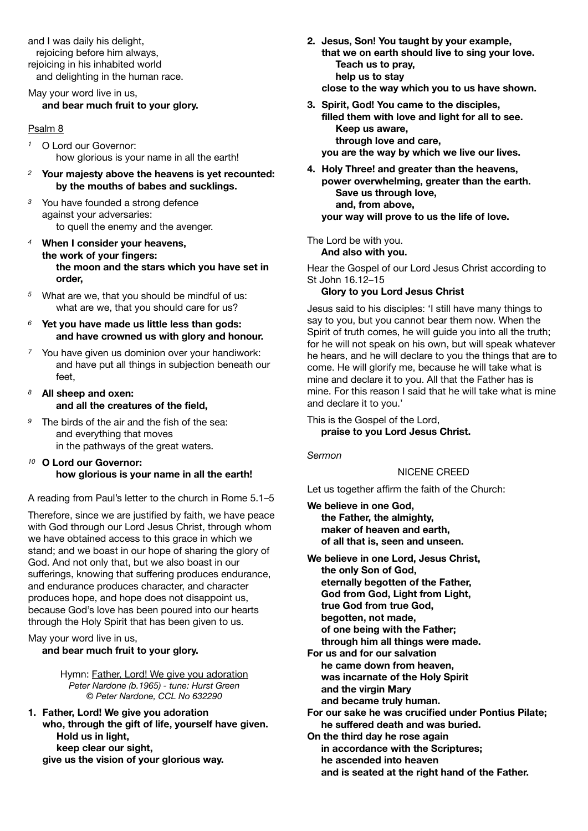and I was daily his delight, rejoicing before him always, rejoicing in his inhabited world and delighting in the human race.

May your word live in us, **and bear much fruit to your glory.** 

#### Psalm 8

- *<sup>1</sup>* O Lord our Governor: how glorious is your name in all the earth!
- *<sup>2</sup>* **Your majesty above the heavens is yet recounted: by the mouths of babes and sucklings.**
- *<sup>3</sup>* You have founded a strong defence against your adversaries: to quell the enemy and the avenger.
- *<sup>4</sup>* **When I consider your heavens, the work of your fingers: the moon and the stars which you have set in order,**
- *<sup>5</sup>* What are we, that you should be mindful of us: what are we, that you should care for us?
- *<sup>6</sup>* **Yet you have made us little less than gods: and have crowned us with glory and honour.**
- *<sup>7</sup>* You have given us dominion over your handiwork: and have put all things in subjection beneath our feet,
- *<sup>8</sup>* **All sheep and oxen: and all the creatures of the field,**
- *<sup>9</sup>* The birds of the air and the fish of the sea: and everything that moves in the pathways of the great waters.
- *<sup>10</sup>* **O Lord our Governor: how glorious is your name in all the earth!**

A reading from Paul's letter to the church in Rome 5.1–5

Therefore, since we are justified by faith, we have peace with God through our Lord Jesus Christ, through whom we have obtained access to this grace in which we stand; and we boast in our hope of sharing the glory of God. And not only that, but we also boast in our sufferings, knowing that suffering produces endurance, and endurance produces character, and character produces hope, and hope does not disappoint us, because God's love has been poured into our hearts through the Holy Spirit that has been given to us.

#### May your word live in us, **and bear much fruit to your glory.**

Hymn: Father, Lord! We give you adoration *Peter Nardone (b.1965) - tune: Hurst Green © Peter Nardone, CCL No 632290* 

**1. Father, Lord! We give you adoration who, through the gift of life, yourself have given. Hold us in light, keep clear our sight, give us the vision of your glorious way.** 

- **2. Jesus, Son! You taught by your example, that we on earth should live to sing your love. Teach us to pray, help us to stay close to the way which you to us have shown.**
- **3. Spirit, God! You came to the disciples, filled them with love and light for all to see. Keep us aware, through love and care, you are the way by which we live our lives.**
- **4. Holy Three! and greater than the heavens, power overwhelming, greater than the earth. Save us through love, and, from above, your way will prove to us the life of love.**

The Lord be with you.

**And also with you.** 

Hear the Gospel of our Lord Jesus Christ according to St John 16.12–15

## **Glory to you Lord Jesus Christ**

Jesus said to his disciples: 'I still have many things to say to you, but you cannot bear them now. When the Spirit of truth comes, he will guide you into all the truth; for he will not speak on his own, but will speak whatever he hears, and he will declare to you the things that are to come. He will glorify me, because he will take what is mine and declare it to you. All that the Father has is mine. For this reason I said that he will take what is mine and declare it to you.'

This is the Gospel of the Lord, **praise to you Lord Jesus Christ.**

*Sermon* 

## NICENE CREED

Let us together affirm the faith of the Church:

**We believe in one God, the Father, the almighty, maker of heaven and earth, of all that is, seen and unseen.**

- **We believe in one Lord, Jesus Christ, the only Son of God, eternally begotten of the Father, God from God, Light from Light, true God from true God, begotten, not made, of one being with the Father; through him all things were made. For us and for our salvation**
- **he came down from heaven, was incarnate of the Holy Spirit and the virgin Mary and became truly human.**
- **For our sake he was crucified under Pontius Pilate; he suffered death and was buried.**
- **On the third day he rose again in accordance with the Scriptures; he ascended into heaven and is seated at the right hand of the Father.**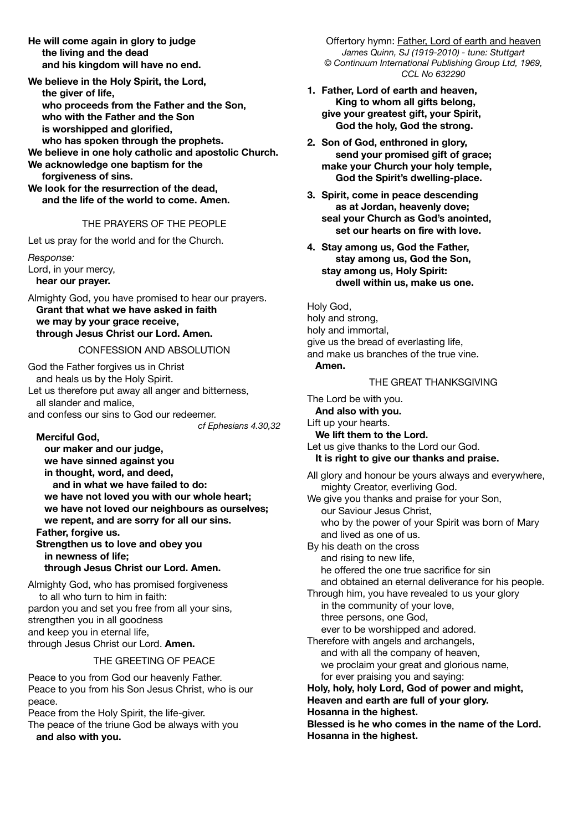**He will come again in glory to judge the living and the dead and his kingdom will have no end.**

**We believe in the Holy Spirit, the Lord, the giver of life, who proceeds from the Father and the Son, who with the Father and the Son is worshipped and glorified, who has spoken through the prophets. We believe in one holy catholic and apostolic Church.**

**We acknowledge one baptism for the forgiveness of sins.**

**We look for the resurrection of the dead, and the life of the world to come. Amen.** 

## THE PRAYERS OF THE PEOPLE

Let us pray for the world and for the Church.

*Response:*  Lord, in your mercy,  **hear our prayer.** 

Almighty God, you have promised to hear our prayers.  **Grant that what we have asked in faith we may by your grace receive, through Jesus Christ our Lord. Amen.** 

#### CONFESSION AND ABSOLUTION

God the Father forgives us in Christ and heals us by the Holy Spirit. Let us therefore put away all anger and bitterness, all slander and malice, and confess our sins to God our redeemer. *cf Ephesians 4.30,32* 

## **Merciful God,**

 **our maker and our judge, we have sinned against you in thought, word, and deed, and in what we have failed to do: we have not loved you with our whole heart; we have not loved our neighbours as ourselves; we repent, and are sorry for all our sins. Father, forgive us. Strengthen us to love and obey you in newness of life; through Jesus Christ our Lord. Amen.**

Almighty God, who has promised forgiveness to all who turn to him in faith: pardon you and set you free from all your sins, strengthen you in all goodness and keep you in eternal life, through Jesus Christ our Lord. **Amen.**

#### THE GREETING OF PEACE

Peace to you from God our heavenly Father. Peace to you from his Son Jesus Christ, who is our peace.

Peace from the Holy Spirit, the life-giver.

The peace of the triune God be always with you  **and also with you.** 

Offertory hymn: Father, Lord of earth and heaven *James Quinn, SJ (1919-2010) - tune: Stuttgart © Continuum International Publishing Group Ltd, 1969, CCL No 632290* 

- **1. Father, Lord of earth and heaven, King to whom all gifts belong, give your greatest gift, your Spirit, God the holy, God the strong.**
- **2. Son of God, enthroned in glory, send your promised gift of grace; make your Church your holy temple, God the Spirit's dwelling-place.**
- **3. Spirit, come in peace descending as at Jordan, heavenly dove; seal your Church as God's anointed, set our hearts on fire with love.**
- **4. Stay among us, God the Father, stay among us, God the Son, stay among us, Holy Spirit: dwell within us, make us one.**

Holy God, holy and strong, holy and immortal, give us the bread of everlasting life, and make us branches of the true vine.

## **Amen.**

#### THE GREAT THANKSGIVING

The Lord be with you.  **And also with you.** Lift up your hearts.  **We lift them to the Lord.** Let us give thanks to the Lord our God.  **It is right to give our thanks and praise.**

All glory and honour be yours always and everywhere, mighty Creator, everliving God.

We give you thanks and praise for your Son, our Saviour Jesus Christ, who by the power of your Spirit was born of Mary and lived as one of us. By his death on the cross and rising to new life,

 he offered the one true sacrifice for sin and obtained an eternal deliverance for his people. Through him, you have revealed to us your glory

in the community of your love, three persons, one God, ever to be worshipped and adored.

Therefore with angels and archangels, and with all the company of heaven, we proclaim your great and glorious name, for ever praising you and saying:

**Holy, holy, holy Lord, God of power and might, Heaven and earth are full of your glory.**

**Hosanna in the highest.**

**Blessed is he who comes in the name of the Lord. Hosanna in the highest.**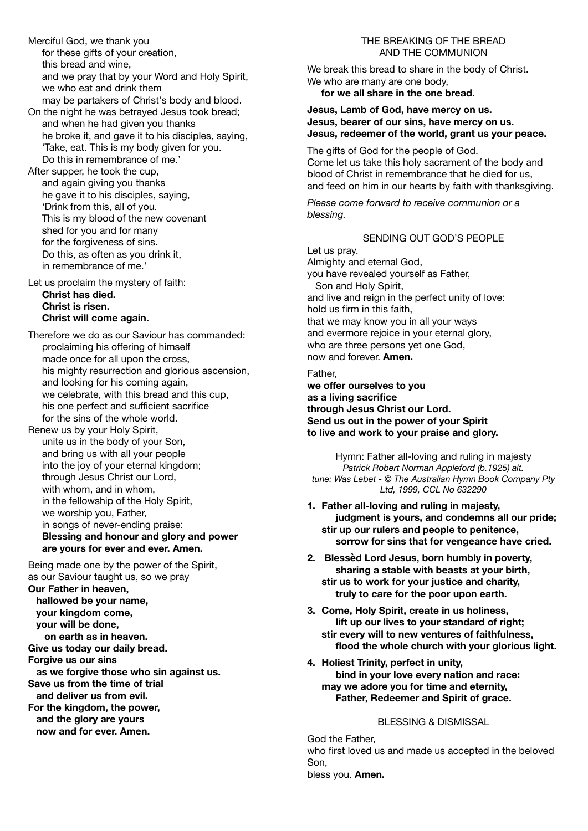Merciful God, we thank you for these gifts of your creation, this bread and wine, and we pray that by your Word and Holy Spirit, we who eat and drink them may be partakers of Christ's body and blood. On the night he was betrayed Jesus took bread; and when he had given you thanks

he broke it, and gave it to his disciples, saying, 'Take, eat. This is my body given for you. Do this in remembrance of me.'

After supper, he took the cup, and again giving you thanks he gave it to his disciples, saying, 'Drink from this, all of you. This is my blood of the new covenant shed for you and for many for the forgiveness of sins. Do this, as often as you drink it, in remembrance of me.'

Let us proclaim the mystery of faith: **Christ has died. Christ is risen. Christ will come again.**

Therefore we do as our Saviour has commanded: proclaiming his offering of himself made once for all upon the cross, his mighty resurrection and glorious ascension, and looking for his coming again, we celebrate, with this bread and this cup, his one perfect and sufficient sacrifice for the sins of the whole world.

Renew us by your Holy Spirit, unite us in the body of your Son, and bring us with all your people into the joy of your eternal kingdom; through Jesus Christ our Lord, with whom, and in whom, in the fellowship of the Holy Spirit, we worship you, Father, in songs of never-ending praise: **Blessing and honour and glory and power are yours for ever and ever. Amen.**

Being made one by the power of the Spirit, as our Saviour taught us, so we pray **Our Father in heaven, hallowed be your name, your kingdom come, your will be done, on earth as in heaven. Give us today our daily bread. Forgive us our sins as we forgive those who sin against us. Save us from the time of trial and deliver us from evil. For the kingdom, the power, and the glory are yours now and for ever. Amen.** 

## THE BREAKING OF THE BREAD AND THE COMMUNION

We break this bread to share in the body of Christ. We who are many are one body, **for we all share in the one bread.** 

## **Jesus, Lamb of God, have mercy on us. Jesus, bearer of our sins, have mercy on us. Jesus, redeemer of the world, grant us your peace.**

The gifts of God for the people of God. Come let us take this holy sacrament of the body and blood of Christ in remembrance that he died for us, and feed on him in our hearts by faith with thanksgiving.

*Please come forward to receive communion or a blessing.* 

## SENDING OUT GOD'S PEOPLE

Let us pray. Almighty and eternal God, you have revealed yourself as Father, Son and Holy Spirit, and live and reign in the perfect unity of love: hold us firm in this faith, that we may know you in all your ways and evermore rejoice in your eternal glory, who are three persons yet one God, now and forever. **Amen.**

Father, **we offer ourselves to you as a living sacrifice through Jesus Christ our Lord. Send us out in the power of your Spirit to live and work to your praise and glory.** 

Hymn: Father all-loving and ruling in majesty *Patrick Robert Norman Appleford (b.1925) alt. tune: Was Lebet - © The Australian Hymn Book Company Pty Ltd, 1999, CCL No 632290* 

- **1. Father all-loving and ruling in majesty, judgment is yours, and condemns all our pride; stir up our rulers and people to penitence, sorrow for sins that for vengeance have cried.**
- **2. Blessèd Lord Jesus, born humbly in poverty, sharing a stable with beasts at your birth, stir us to work for your justice and charity, truly to care for the poor upon earth.**
- **3. Come, Holy Spirit, create in us holiness, lift up our lives to your standard of right; stir every will to new ventures of faithfulness, flood the whole church with your glorious light.**
- **4. Holiest Trinity, perfect in unity, bind in your love every nation and race: may we adore you for time and eternity, Father, Redeemer and Spirit of grace.**

# BLESSING & DISMISSAL

God the Father, who first loved us and made us accepted in the beloved Son, bless you. **Amen.**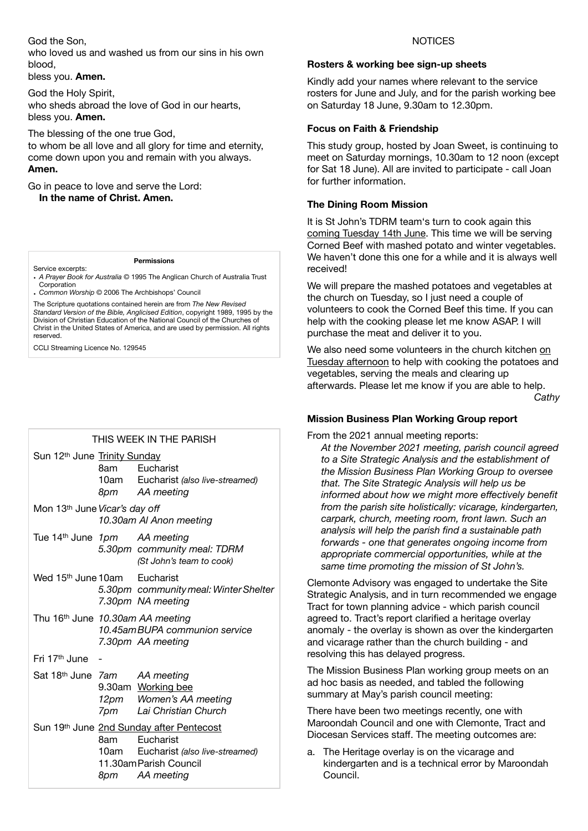## God the Son,

who loved us and washed us from our sins in his own blood,

bless you. **Amen.**

God the Holy Spirit, who sheds abroad the love of God in our hearts, bless you. **Amen.**

The blessing of the one true God, to whom be all love and all glory for time and eternity, come down upon you and remain with you always. **Amen.**

Go in peace to love and serve the Lord: **In the name of Christ. Amen.**

#### **Permissions**

- Service excerpts: **•** *A Prayer Book for Australia* © 1995 The Anglican Church of Australia Trust Corporation
- **•** *Common Worship* © 2006 The Archbishops' Council

The Scripture quotations contained herein are from *The New Revised Standard Version of the Bible, Anglicised Edition*, copyright 1989, 1995 by the Division of Christian Education of the National Council of the Churches of Christ in the United States of America, and are used by permission. All rights reserved.

CCLI Streaming Licence No. 129545

## THIS WEEK IN THE PARISH

| Sun 12th June Trinity Sunday                                         |       | 8am Eucharist<br>10am Eucharist (also live-streamed)<br>8pm AA meeting                                                                   |
|----------------------------------------------------------------------|-------|------------------------------------------------------------------------------------------------------------------------------------------|
| Mon 13 <sup>th</sup> June Vicar's day off<br>10.30am AI Anon meeting |       |                                                                                                                                          |
| Tue 14 <sup>th</sup> June 1pm AA meeting                             |       | 5.30pm community meal: TDRM<br>(St John's team to cook)                                                                                  |
| Wed 15 <sup>th</sup> June 10am                                       |       | Eucharist<br>5.30pm community meal: Winter Shelter<br>7.30pm NA meeting                                                                  |
| Thu 16 <sup>th</sup> June 10.30am AA meeting                         |       | 10.45amBUPA communion service<br>7.30pm AA meeting                                                                                       |
| Fri 17 <sup>th</sup> June                                            |       |                                                                                                                                          |
| Sat 18th June 7am AA meeting                                         |       | 9.30am Working bee<br>12pm Women's AA meeting<br>7pm Lai Christian Church                                                                |
|                                                                      | 8am — | Sun 19th June 2nd Sunday after Pentecost<br>Eucharist<br>10am Eucharist (also live-streamed)<br>11.30am Parish Council<br>8pm AA meeting |

#### **NOTICES**

#### **Rosters & working bee sign-up sheets**

Kindly add your names where relevant to the service rosters for June and July, and for the parish working bee on Saturday 18 June, 9.30am to 12.30pm.

## **Focus on Faith & Friendship**

This study group, hosted by Joan Sweet, is continuing to meet on Saturday mornings, 10.30am to 12 noon (except for Sat 18 June). All are invited to participate - call Joan for further information.

## **The Dining Room Mission**

It is St John's TDRM team's turn to cook again this coming Tuesday 14th June. This time we will be serving Corned Beef with mashed potato and winter vegetables. We haven't done this one for a while and it is always well received!

We will prepare the mashed potatoes and vegetables at the church on Tuesday, so I just need a couple of volunteers to cook the Corned Beef this time. If you can help with the cooking please let me know ASAP. I will purchase the meat and deliver it to you.

We also need some volunteers in the church kitchen on Tuesday afternoon to help with cooking the potatoes and vegetables, serving the meals and clearing up afterwards. Please let me know if you are able to help. *Cathy* 

## **Mission Business Plan Working Group report**

From the 2021 annual meeting reports:

*At the November 2021 meeting, parish council agreed to a Site Strategic Analysis and the establishment of the Mission Business Plan Working Group to oversee that. The Site Strategic Analysis will help us be informed about how we might more effectively benefit from the parish site holistically: vicarage, kindergarten, carpark, church, meeting room, front lawn. Such an analysis will help the parish find a sustainable path forwards - one that generates ongoing income from appropriate commercial opportunities, while at the same time promoting the mission of St John's.* 

Clemonte Advisory was engaged to undertake the Site Strategic Analysis, and in turn recommended we engage Tract for town planning advice - which parish council agreed to. Tract's report clarified a heritage overlay anomaly - the overlay is shown as over the kindergarten and vicarage rather than the church building - and resolving this has delayed progress.

The Mission Business Plan working group meets on an ad hoc basis as needed, and tabled the following summary at May's parish council meeting:

There have been two meetings recently, one with Maroondah Council and one with Clemonte, Tract and Diocesan Services staff. The meeting outcomes are:

a. The Heritage overlay is on the vicarage and kindergarten and is a technical error by Maroondah Council.